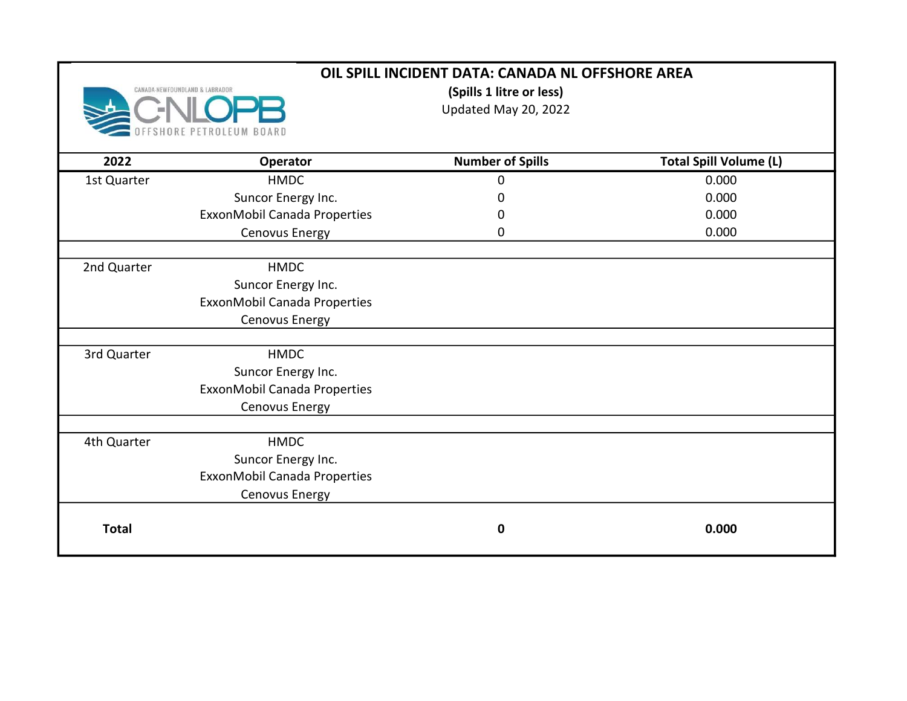|              | OIL SPILL INCIDENT DATA: CANADA NL OFFSHORE AREA |                                                  |                               |  |
|--------------|--------------------------------------------------|--------------------------------------------------|-------------------------------|--|
|              | CANADA-NEWFOUNDLAND & LABRADOR                   | (Spills 1 litre or less)<br>Updated May 20, 2022 |                               |  |
| 2022         | <b>Operator</b>                                  | <b>Number of Spills</b>                          | <b>Total Spill Volume (L)</b> |  |
| 1st Quarter  | <b>HMDC</b>                                      | $\mathbf 0$                                      | 0.000                         |  |
|              | Suncor Energy Inc.                               | 0                                                | 0.000                         |  |
|              | ExxonMobil Canada Properties                     | 0                                                | 0.000                         |  |
|              | Cenovus Energy                                   | 0                                                | 0.000                         |  |
| 2nd Quarter  | <b>HMDC</b>                                      |                                                  |                               |  |
|              | Suncor Energy Inc.                               |                                                  |                               |  |
|              | ExxonMobil Canada Properties                     |                                                  |                               |  |
|              | Cenovus Energy                                   |                                                  |                               |  |
| 3rd Quarter  | <b>HMDC</b>                                      |                                                  |                               |  |
|              | Suncor Energy Inc.                               |                                                  |                               |  |
|              | ExxonMobil Canada Properties                     |                                                  |                               |  |
|              | Cenovus Energy                                   |                                                  |                               |  |
| 4th Quarter  | <b>HMDC</b>                                      |                                                  |                               |  |
|              | Suncor Energy Inc.                               |                                                  |                               |  |
|              | ExxonMobil Canada Properties                     |                                                  |                               |  |
|              | Cenovus Energy                                   |                                                  |                               |  |
| <b>Total</b> |                                                  | $\mathbf 0$                                      | 0.000                         |  |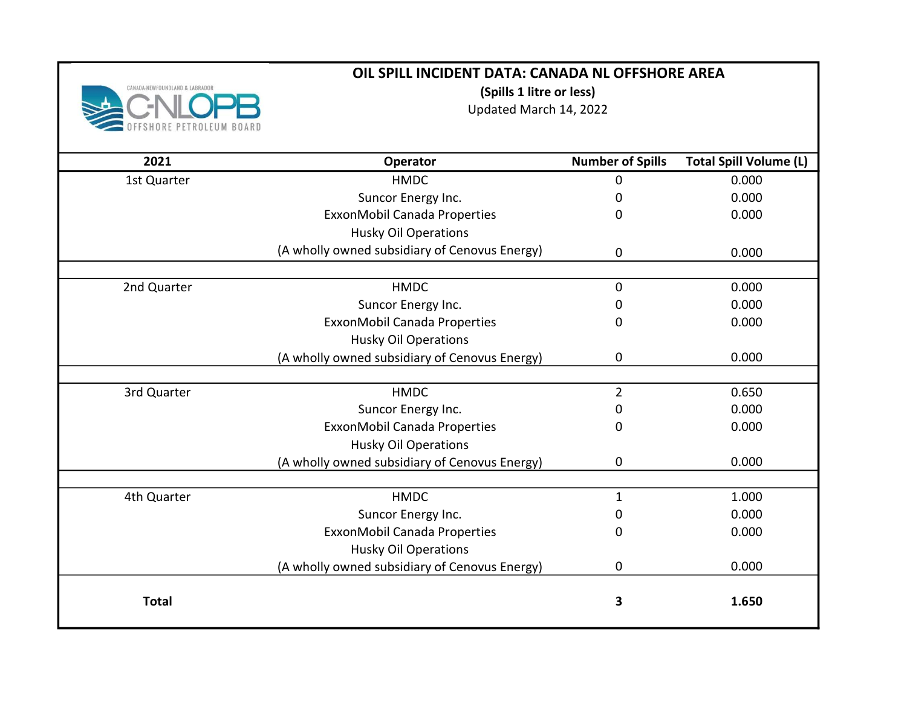

(Spills 1 litre or less)

Updated March 14, 2022

| 2021         | Operator                                      | <b>Number of Spills</b> | <b>Total Spill Volume (L)</b> |
|--------------|-----------------------------------------------|-------------------------|-------------------------------|
| 1st Quarter  | <b>HMDC</b>                                   | 0                       | 0.000                         |
|              | Suncor Energy Inc.                            | 0                       | 0.000                         |
|              | ExxonMobil Canada Properties                  | 0                       | 0.000                         |
|              | <b>Husky Oil Operations</b>                   |                         |                               |
|              | (A wholly owned subsidiary of Cenovus Energy) | 0                       | 0.000                         |
|              |                                               |                         |                               |
| 2nd Quarter  | <b>HMDC</b>                                   | 0                       | 0.000                         |
|              | Suncor Energy Inc.                            | 0                       | 0.000                         |
|              | ExxonMobil Canada Properties                  | 0                       | 0.000                         |
|              | <b>Husky Oil Operations</b>                   |                         |                               |
|              | (A wholly owned subsidiary of Cenovus Energy) | 0                       | 0.000                         |
|              |                                               |                         |                               |
| 3rd Quarter  | <b>HMDC</b>                                   | $\overline{2}$          | 0.650                         |
|              | Suncor Energy Inc.                            | 0                       | 0.000                         |
|              | ExxonMobil Canada Properties                  | 0                       | 0.000                         |
|              | <b>Husky Oil Operations</b>                   |                         |                               |
|              | (A wholly owned subsidiary of Cenovus Energy) | 0                       | 0.000                         |
|              |                                               |                         |                               |
| 4th Quarter  | <b>HMDC</b>                                   | 1                       | 1.000                         |
|              | Suncor Energy Inc.                            | 0                       | 0.000                         |
|              | ExxonMobil Canada Properties                  | 0                       | 0.000                         |
|              | <b>Husky Oil Operations</b>                   |                         |                               |
|              | (A wholly owned subsidiary of Cenovus Energy) | 0                       | 0.000                         |
| <b>Total</b> |                                               | 3                       | 1.650                         |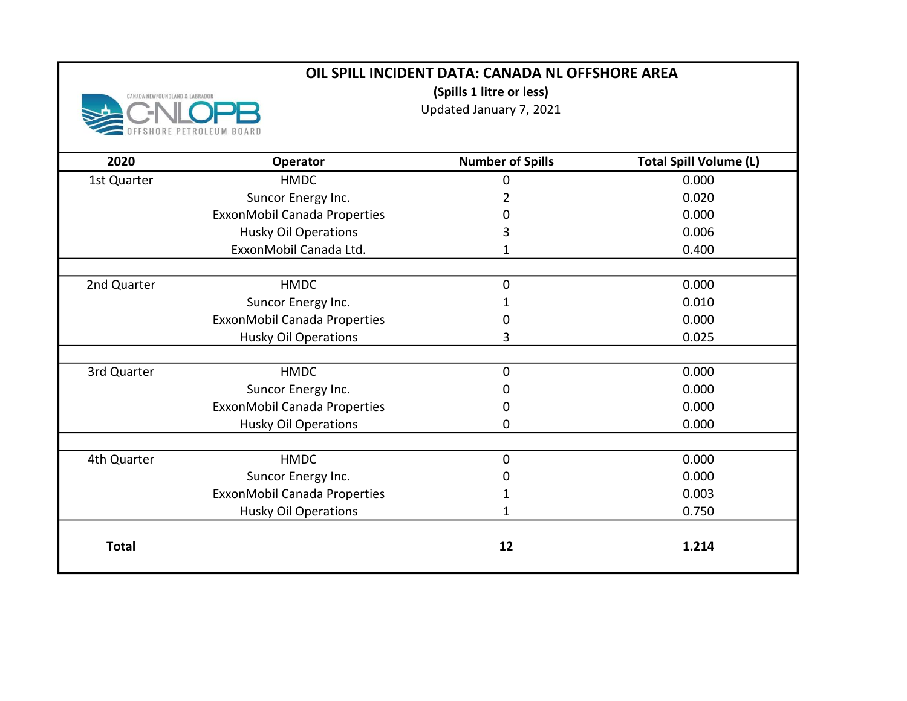(Spills 1 litre or less)

CANADA-NEWFOUNDLAND & LABRADOR BOARD

Updated January 7, 2021

| 2020         | Operator                     | <b>Number of Spills</b> | <b>Total Spill Volume (L)</b> |
|--------------|------------------------------|-------------------------|-------------------------------|
| 1st Quarter  | <b>HMDC</b>                  | 0                       | 0.000                         |
|              | Suncor Energy Inc.           | 2                       | 0.020                         |
|              | ExxonMobil Canada Properties | 0                       | 0.000                         |
|              | <b>Husky Oil Operations</b>  | 3                       | 0.006                         |
|              | ExxonMobil Canada Ltd.       | 1                       | 0.400                         |
|              |                              |                         |                               |
| 2nd Quarter  | <b>HMDC</b>                  | 0                       | 0.000                         |
|              | Suncor Energy Inc.           |                         | 0.010                         |
|              | ExxonMobil Canada Properties | 0                       | 0.000                         |
|              | <b>Husky Oil Operations</b>  | 3                       | 0.025                         |
|              |                              |                         |                               |
| 3rd Quarter  | <b>HMDC</b>                  | 0                       | 0.000                         |
|              | Suncor Energy Inc.           | 0                       | 0.000                         |
|              | ExxonMobil Canada Properties | 0                       | 0.000                         |
|              | <b>Husky Oil Operations</b>  | 0                       | 0.000                         |
|              |                              |                         |                               |
| 4th Quarter  | <b>HMDC</b>                  | 0                       | 0.000                         |
|              | Suncor Energy Inc.           | 0                       | 0.000                         |
|              | ExxonMobil Canada Properties |                         | 0.003                         |
|              | <b>Husky Oil Operations</b>  | 1                       | 0.750                         |
|              |                              |                         |                               |
| <b>Total</b> |                              | 12                      | 1.214                         |
|              |                              |                         |                               |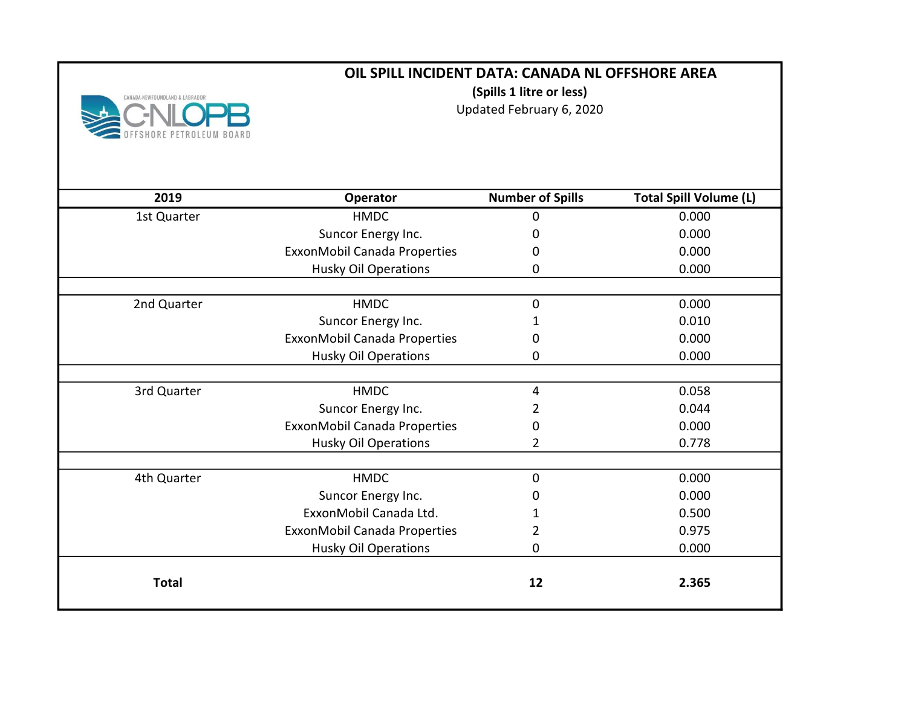

(Spills 1 litre or less)

Updated February 6, 2020

| 2019         | Operator                     | <b>Number of Spills</b> | <b>Total Spill Volume (L)</b> |
|--------------|------------------------------|-------------------------|-------------------------------|
| 1st Quarter  | <b>HMDC</b>                  | 0                       | 0.000                         |
|              | Suncor Energy Inc.           | 0                       | 0.000                         |
|              | ExxonMobil Canada Properties | 0                       | 0.000                         |
|              | <b>Husky Oil Operations</b>  | 0                       | 0.000                         |
|              |                              |                         |                               |
| 2nd Quarter  | <b>HMDC</b>                  | $\mathbf 0$             | 0.000                         |
|              | Suncor Energy Inc.           |                         | 0.010                         |
|              | ExxonMobil Canada Properties | 0                       | 0.000                         |
|              | <b>Husky Oil Operations</b>  | 0                       | 0.000                         |
|              |                              |                         |                               |
| 3rd Quarter  | <b>HMDC</b>                  | 4                       | 0.058                         |
|              | Suncor Energy Inc.           | 2                       | 0.044                         |
|              | ExxonMobil Canada Properties | 0                       | 0.000                         |
|              | <b>Husky Oil Operations</b>  | 2                       | 0.778                         |
|              |                              |                         |                               |
| 4th Quarter  | <b>HMDC</b>                  | 0                       | 0.000                         |
|              | Suncor Energy Inc.           | 0                       | 0.000                         |
|              | ExxonMobil Canada Ltd.       | 1                       | 0.500                         |
|              | ExxonMobil Canada Properties | 2                       | 0.975                         |
|              | <b>Husky Oil Operations</b>  | 0                       | 0.000                         |
| <b>Total</b> |                              | 12                      | 2.365                         |
|              |                              |                         |                               |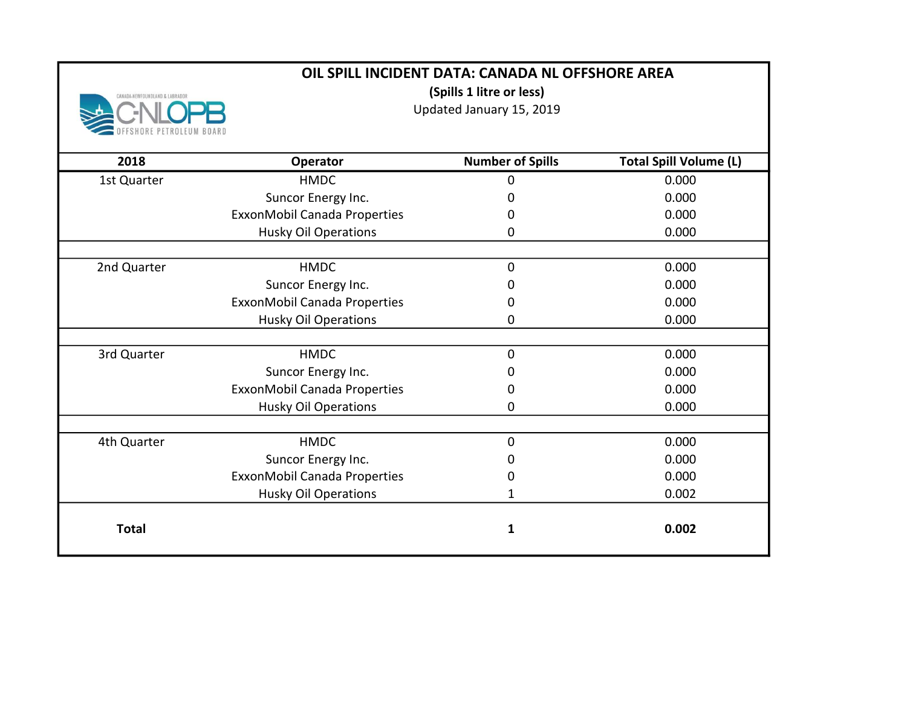(Spills 1 litre or less)

Updated January 15, 2019

| 2018         | Operator                     | <b>Number of Spills</b> | <b>Total Spill Volume (L)</b> |
|--------------|------------------------------|-------------------------|-------------------------------|
| 1st Quarter  | <b>HMDC</b>                  | 0                       | 0.000                         |
|              | Suncor Energy Inc.           | 0                       | 0.000                         |
|              | ExxonMobil Canada Properties | 0                       | 0.000                         |
|              | <b>Husky Oil Operations</b>  | 0                       | 0.000                         |
|              |                              |                         |                               |
| 2nd Quarter  | <b>HMDC</b>                  | 0                       | 0.000                         |
|              | Suncor Energy Inc.           | O                       | 0.000                         |
|              | ExxonMobil Canada Properties | 0                       | 0.000                         |
|              | <b>Husky Oil Operations</b>  | 0                       | 0.000                         |
|              |                              |                         |                               |
| 3rd Quarter  | <b>HMDC</b>                  | 0                       | 0.000                         |
|              | Suncor Energy Inc.           | 0                       | 0.000                         |
|              | ExxonMobil Canada Properties | 0                       | 0.000                         |
|              | <b>Husky Oil Operations</b>  | 0                       | 0.000                         |
|              |                              |                         |                               |
| 4th Quarter  | <b>HMDC</b>                  | 0                       | 0.000                         |
|              | Suncor Energy Inc.           | 0                       | 0.000                         |
|              | ExxonMobil Canada Properties | 0                       | 0.000                         |
|              | <b>Husky Oil Operations</b>  | 1                       | 0.002                         |
|              |                              |                         |                               |
| <b>Total</b> |                              | 1                       | 0.002                         |
|              |                              |                         |                               |

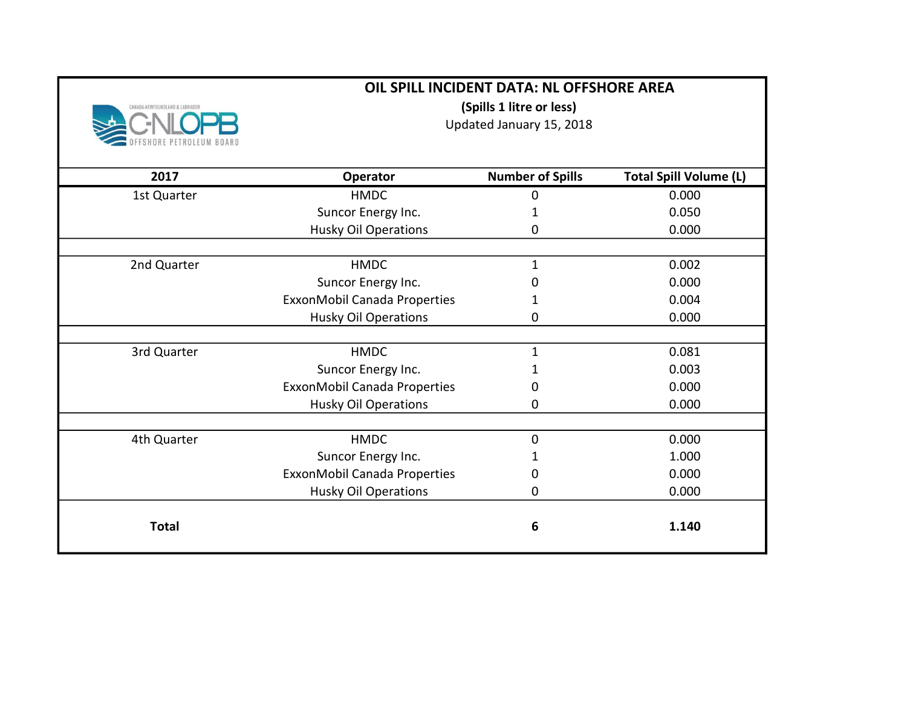| CANADA-NEWFOUNDLAND & LABRADOI | OIL SPILL INCIDENT DATA: NL OFFSHORE AREA<br>(Spills 1 litre or less)<br>Updated January 15, 2018 |                         |                               |
|--------------------------------|---------------------------------------------------------------------------------------------------|-------------------------|-------------------------------|
|                                |                                                                                                   |                         |                               |
| 2017                           | Operator                                                                                          | <b>Number of Spills</b> | <b>Total Spill Volume (L)</b> |
| 1st Quarter                    | <b>HMDC</b>                                                                                       | 0                       | 0.000                         |
|                                | Suncor Energy Inc.                                                                                | 1                       | 0.050                         |
|                                | Husky Oil Operations                                                                              | 0                       | 0.000                         |
|                                |                                                                                                   |                         |                               |
| 2nd Quarter                    | <b>HMDC</b>                                                                                       | 1                       | 0.002                         |
|                                | Suncor Energy Inc.                                                                                | 0                       | 0.000                         |
|                                | ExxonMobil Canada Properties                                                                      | 1                       | 0.004                         |
|                                | <b>Husky Oil Operations</b>                                                                       | 0                       | 0.000                         |
|                                |                                                                                                   |                         |                               |
| 3rd Quarter                    | <b>HMDC</b>                                                                                       | $\mathbf 1$             | 0.081                         |
|                                | Suncor Energy Inc.                                                                                | 1                       | 0.003                         |
|                                | ExxonMobil Canada Properties                                                                      | 0                       | 0.000                         |
|                                | <b>Husky Oil Operations</b>                                                                       | 0                       | 0.000                         |
|                                |                                                                                                   |                         |                               |
| 4th Quarter                    | <b>HMDC</b>                                                                                       | $\mathbf 0$             | 0.000                         |
|                                | Suncor Energy Inc.                                                                                | 1                       | 1.000                         |
|                                | ExxonMobil Canada Properties                                                                      | 0                       | 0.000                         |
|                                | <b>Husky Oil Operations</b>                                                                       | 0                       | 0.000                         |
| <b>Total</b>                   |                                                                                                   | 6                       | 1.140                         |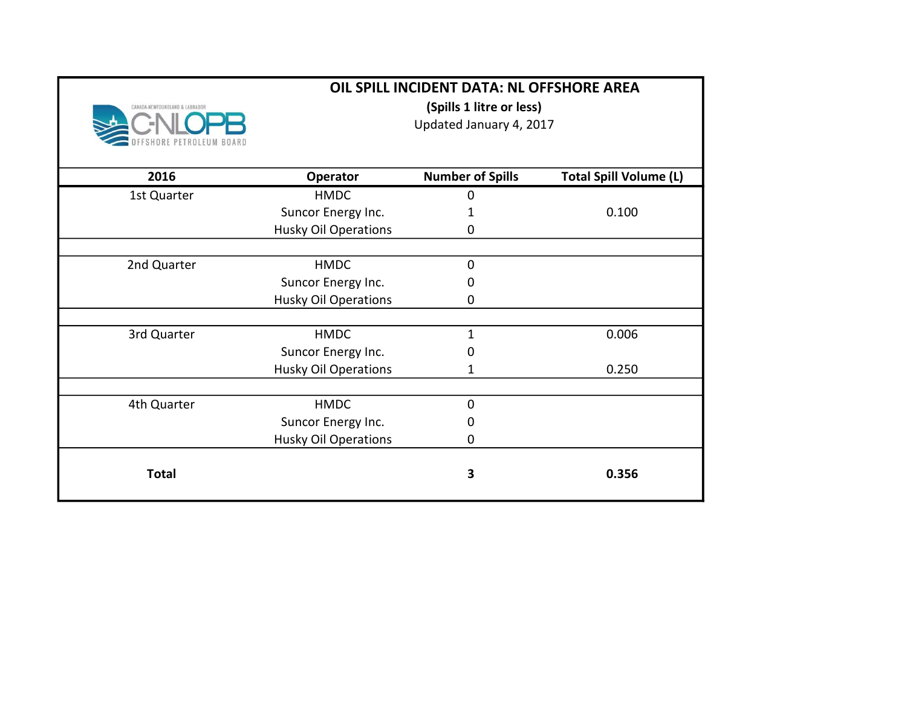|                                | OIL SPILL INCIDENT DATA: NL OFFSHORE AREA |                         |                               |
|--------------------------------|-------------------------------------------|-------------------------|-------------------------------|
| CANADA-NEWFOUNDLAND & LABRADOR | (Spills 1 litre or less)                  |                         |                               |
|                                |                                           | Updated January 4, 2017 |                               |
|                                |                                           |                         |                               |
| 2016                           | Operator                                  | <b>Number of Spills</b> | <b>Total Spill Volume (L)</b> |
| 1st Quarter                    | <b>HMDC</b>                               | 0                       |                               |
|                                | Suncor Energy Inc.                        |                         | 0.100                         |
|                                | <b>Husky Oil Operations</b>               | 0                       |                               |
|                                |                                           |                         |                               |
| 2nd Quarter                    | <b>HMDC</b>                               | 0                       |                               |
|                                | Suncor Energy Inc.                        | 0                       |                               |
|                                | <b>Husky Oil Operations</b>               | 0                       |                               |
| 3rd Quarter                    | <b>HMDC</b>                               | 1                       | 0.006                         |
|                                | Suncor Energy Inc.                        | 0                       |                               |
|                                | <b>Husky Oil Operations</b>               | 1                       | 0.250                         |
| 4th Quarter                    | <b>HMDC</b>                               | 0                       |                               |
|                                | Suncor Energy Inc.                        | 0                       |                               |
|                                | <b>Husky Oil Operations</b>               | 0                       |                               |
| <b>Total</b>                   |                                           | 3                       | 0.356                         |
|                                |                                           |                         |                               |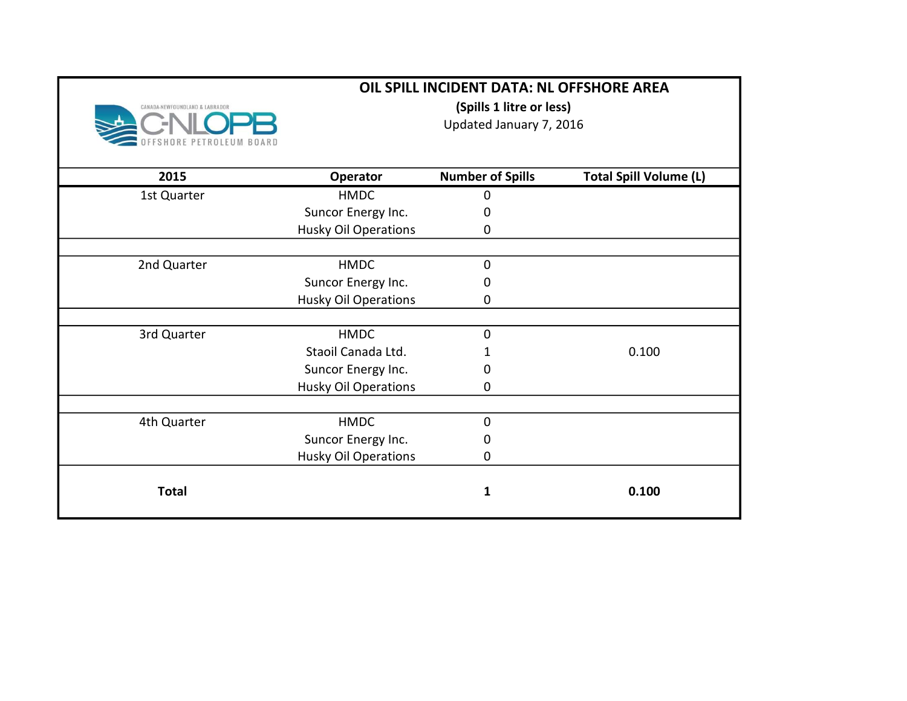|                                | OIL SPILL INCIDENT DATA: NL OFFSHORE AREA           |                         |                               |
|--------------------------------|-----------------------------------------------------|-------------------------|-------------------------------|
| CANADA-NEWFOUNDLAND & LABRADOR | (Spills 1 litre or less)<br>Updated January 7, 2016 |                         |                               |
| 2015                           | Operator                                            | <b>Number of Spills</b> | <b>Total Spill Volume (L)</b> |
| 1st Quarter                    | <b>HMDC</b>                                         | 0                       |                               |
|                                | Suncor Energy Inc.                                  | 0                       |                               |
|                                | <b>Husky Oil Operations</b>                         | 0                       |                               |
| 2nd Quarter                    | <b>HMDC</b>                                         | 0                       |                               |
|                                | Suncor Energy Inc.                                  | 0                       |                               |
|                                | <b>Husky Oil Operations</b>                         | 0                       |                               |
| 3rd Quarter                    | <b>HMDC</b>                                         | $\Omega$                |                               |
|                                | Staoil Canada Ltd.                                  |                         | 0.100                         |
|                                | Suncor Energy Inc.                                  | 0                       |                               |
|                                | <b>Husky Oil Operations</b>                         | 0                       |                               |
| 4th Quarter                    | <b>HMDC</b>                                         | $\overline{0}$          |                               |
|                                | Suncor Energy Inc.                                  | 0                       |                               |
|                                | <b>Husky Oil Operations</b>                         | 0                       |                               |
| <b>Total</b>                   |                                                     | 1                       | 0.100                         |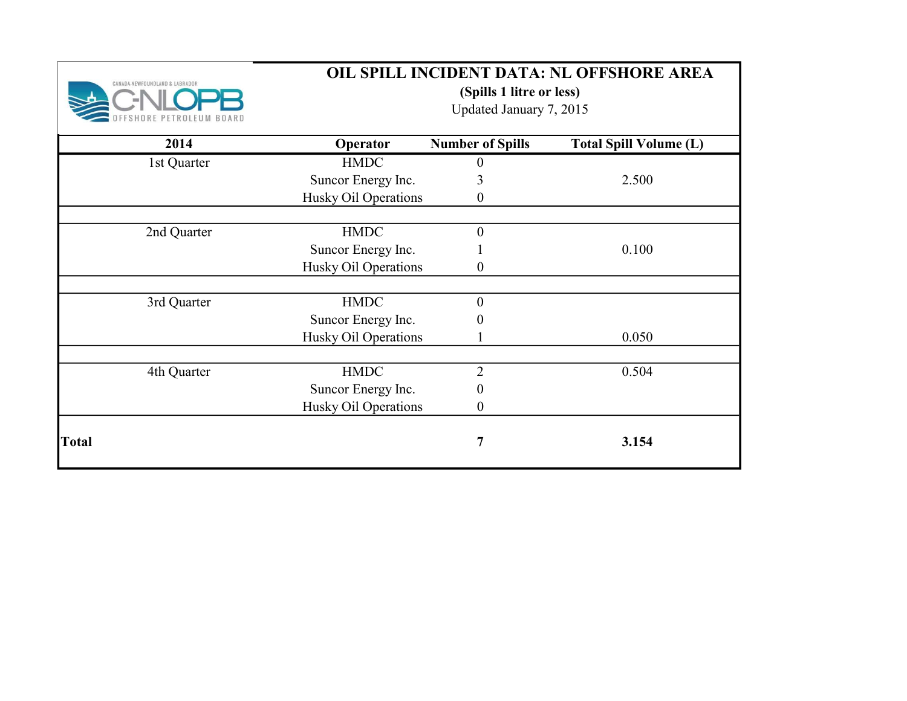

(Spills 1 litre or less)

Updated January 7, 2015

| 2014         | Operator             | <b>Number of Spills</b> | <b>Total Spill Volume (L)</b> |
|--------------|----------------------|-------------------------|-------------------------------|
| 1st Quarter  | <b>HMDC</b>          | $\theta$                |                               |
|              | Suncor Energy Inc.   | 3                       | 2.500                         |
|              | Husky Oil Operations | $\boldsymbol{0}$        |                               |
|              |                      |                         |                               |
| 2nd Quarter  | <b>HMDC</b>          | $\boldsymbol{0}$        |                               |
|              | Suncor Energy Inc.   |                         | 0.100                         |
|              | Husky Oil Operations | $\boldsymbol{0}$        |                               |
|              |                      |                         |                               |
| 3rd Quarter  | <b>HMDC</b>          | $\boldsymbol{0}$        |                               |
|              | Suncor Energy Inc.   | 0                       |                               |
|              | Husky Oil Operations |                         | 0.050                         |
|              |                      |                         |                               |
| 4th Quarter  | <b>HMDC</b>          | $\overline{2}$          | 0.504                         |
|              | Suncor Energy Inc.   | $\boldsymbol{0}$        |                               |
|              | Husky Oil Operations | $\boldsymbol{0}$        |                               |
| <b>Total</b> |                      | 7                       | 3.154                         |
|              |                      |                         |                               |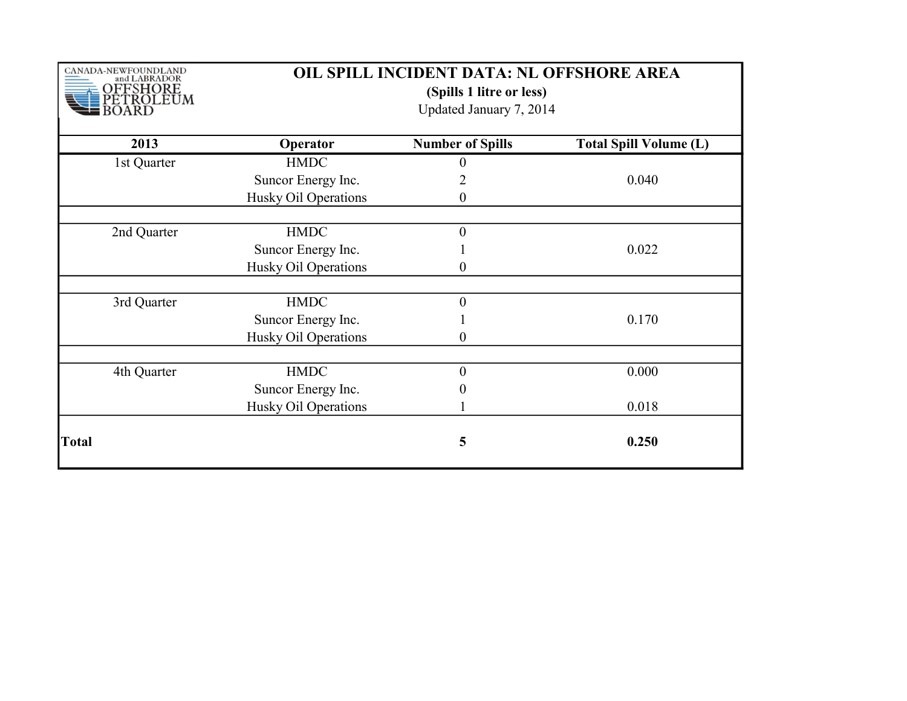| CANADA-NEWFOUNDLAND<br>and LABRADOR<br>OFFSHORE<br>ETROLEUM | OIL SPILL INCIDENT DATA: NL OFFSHORE AREA<br>(Spills 1 litre or less)<br>Updated January 7, 2014 |                         |                               |  |  |
|-------------------------------------------------------------|--------------------------------------------------------------------------------------------------|-------------------------|-------------------------------|--|--|
| 2013                                                        | Operator                                                                                         | <b>Number of Spills</b> | <b>Total Spill Volume (L)</b> |  |  |
| 1st Quarter                                                 | <b>HMDC</b>                                                                                      | $\theta$                |                               |  |  |
|                                                             | Suncor Energy Inc.                                                                               | $\overline{2}$          | 0.040                         |  |  |
|                                                             | Husky Oil Operations                                                                             | $\boldsymbol{0}$        |                               |  |  |
|                                                             |                                                                                                  |                         |                               |  |  |
| 2nd Quarter                                                 | <b>HMDC</b>                                                                                      | $\boldsymbol{0}$        |                               |  |  |
|                                                             | Suncor Energy Inc.                                                                               |                         | 0.022                         |  |  |
|                                                             | Husky Oil Operations                                                                             | $\boldsymbol{0}$        |                               |  |  |
| 3rd Quarter                                                 | <b>HMDC</b>                                                                                      | $\boldsymbol{0}$        |                               |  |  |
|                                                             | Suncor Energy Inc.                                                                               |                         | 0.170                         |  |  |
|                                                             | Husky Oil Operations                                                                             | $\theta$                |                               |  |  |
|                                                             |                                                                                                  |                         |                               |  |  |
| 4th Quarter                                                 | <b>HMDC</b>                                                                                      | $\overline{0}$          | 0.000                         |  |  |
|                                                             | Suncor Energy Inc.                                                                               |                         |                               |  |  |
|                                                             | Husky Oil Operations                                                                             |                         | 0.018                         |  |  |
| Total                                                       |                                                                                                  | 5                       | 0.250                         |  |  |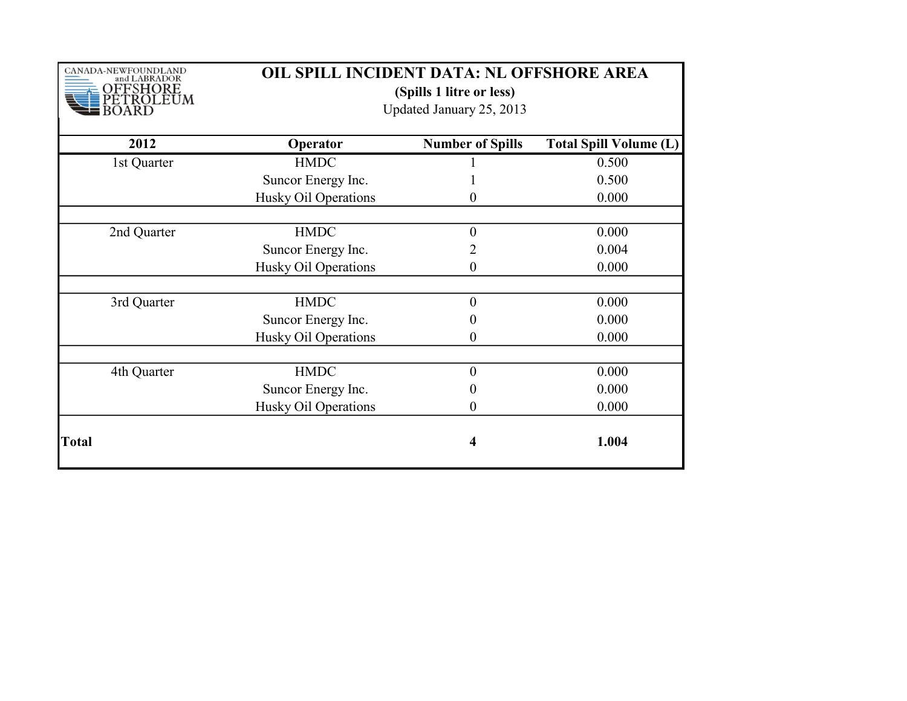| CANADA-NEWFOUNDLAND<br>and LABRADOR<br>OFFSHORE<br>ROLEUM | OIL SPILL INCIDENT DATA: NL OFFSHORE AREA<br>(Spills 1 litre or less)<br>Updated January 25, 2013 |                         |                               |
|-----------------------------------------------------------|---------------------------------------------------------------------------------------------------|-------------------------|-------------------------------|
| 2012                                                      | Operator                                                                                          | <b>Number of Spills</b> | <b>Total Spill Volume (L)</b> |
| 1st Quarter                                               | <b>HMDC</b>                                                                                       |                         | 0.500                         |
|                                                           | Suncor Energy Inc.                                                                                |                         | 0.500                         |
|                                                           | Husky Oil Operations                                                                              | 0                       | 0.000                         |
| 2nd Quarter                                               | <b>HMDC</b>                                                                                       | $\theta$                | 0.000                         |
|                                                           | Suncor Energy Inc.                                                                                | 2                       | 0.004                         |
|                                                           | Husky Oil Operations                                                                              | 0                       | 0.000                         |
| 3rd Quarter                                               | <b>HMDC</b>                                                                                       | $\theta$                | 0.000                         |
|                                                           | Suncor Energy Inc.                                                                                | $\theta$                | 0.000                         |
|                                                           | Husky Oil Operations                                                                              | 0                       | 0.000                         |
| 4th Quarter                                               | <b>HMDC</b>                                                                                       | $\theta$                | 0.000                         |
|                                                           | Suncor Energy Inc.                                                                                |                         | 0.000                         |
|                                                           | Husky Oil Operations                                                                              | $\overline{0}$          | 0.000                         |
| <b>Total</b>                                              |                                                                                                   | 4                       | 1.004                         |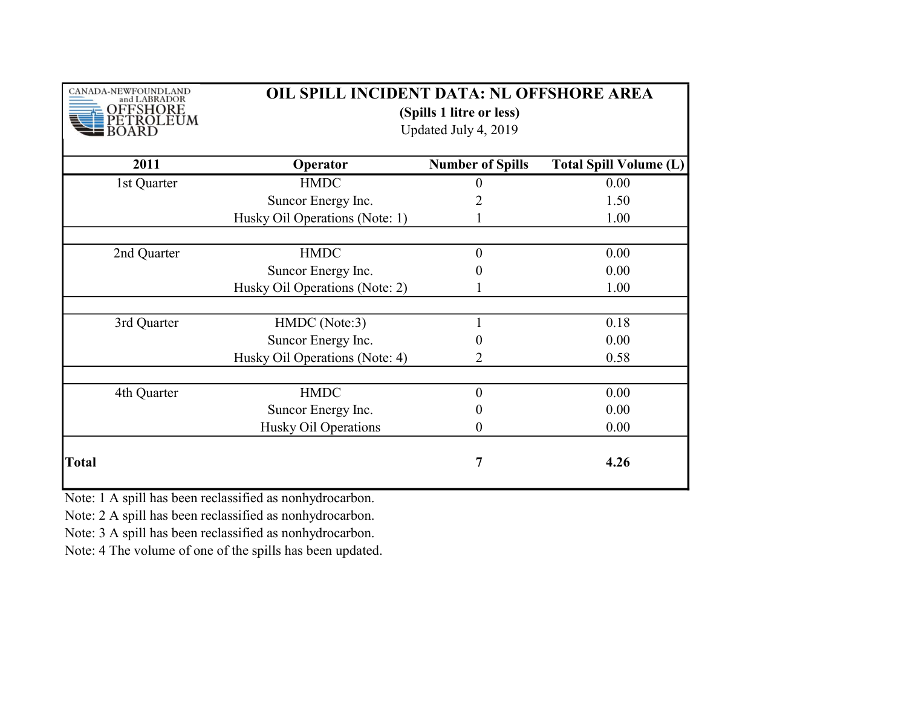| CANADA-NEWFOUNDLAND<br><b>LABRADOR</b><br>SHORE<br><b>OLEUM</b> | OIL SPILL INCIDENT DATA: NL OFFSHORE AREA<br>(Spills 1 litre or less)<br>Updated July 4, 2019 |                         |                               |  |
|-----------------------------------------------------------------|-----------------------------------------------------------------------------------------------|-------------------------|-------------------------------|--|
| 2011                                                            | Operator                                                                                      | <b>Number of Spills</b> | <b>Total Spill Volume (L)</b> |  |
| 1st Quarter                                                     | <b>HMDC</b>                                                                                   | 0                       | 0.00                          |  |
|                                                                 | Suncor Energy Inc.                                                                            |                         | 1.50                          |  |
|                                                                 | Husky Oil Operations (Note: 1)                                                                |                         | 1.00                          |  |
| 2nd Quarter                                                     | <b>HMDC</b>                                                                                   | $\overline{0}$          | 0.00                          |  |
|                                                                 | Suncor Energy Inc.                                                                            | 0                       | 0.00                          |  |
|                                                                 | Husky Oil Operations (Note: 2)                                                                |                         | 1.00                          |  |
| 3rd Quarter                                                     | HMDC (Note:3)                                                                                 |                         | 0.18                          |  |
|                                                                 | Suncor Energy Inc.                                                                            | 0                       | 0.00                          |  |
|                                                                 | Husky Oil Operations (Note: 4)                                                                | 2                       | 0.58                          |  |
| 4th Quarter                                                     | <b>HMDC</b>                                                                                   | $\boldsymbol{0}$        | 0.00                          |  |
|                                                                 | Suncor Energy Inc.                                                                            | 0                       | 0.00                          |  |
|                                                                 | Husky Oil Operations                                                                          | 0                       | 0.00                          |  |
| <b>Total</b>                                                    |                                                                                               | 7                       | 4.26                          |  |

Note: 1 A spill has been reclassified as nonhydrocarbon.

Note: 2 A spill has been reclassified as nonhydrocarbon.

Note: 3 A spill has been reclassified as nonhydrocarbon.

Note: 4 The volume of one of the spills has been updated.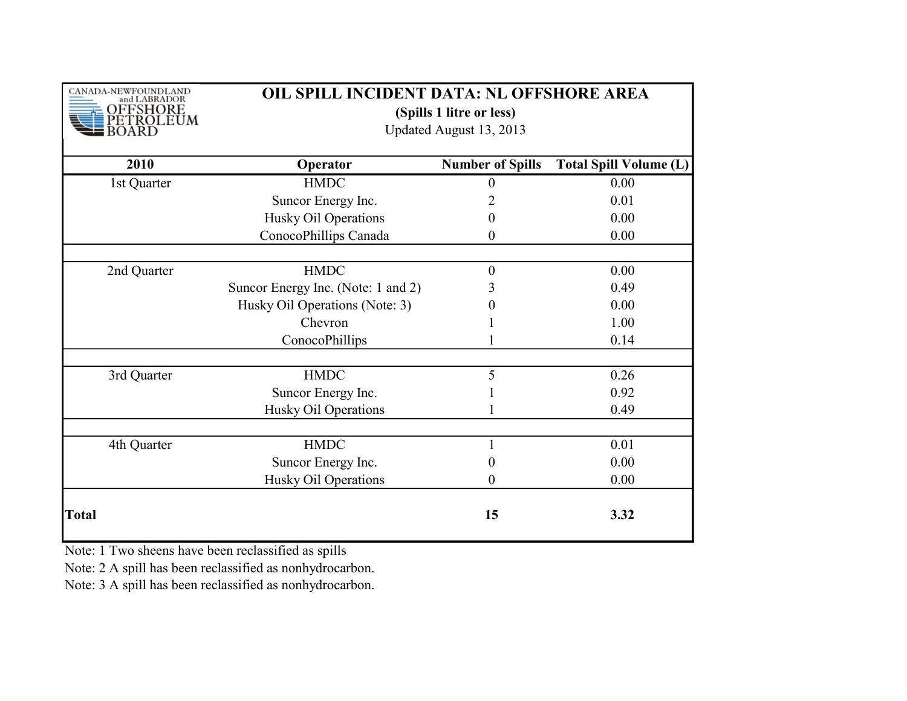| CANADA-NEWFOUNDLAND<br>and LABRADOR<br><b>SHORE</b> |                                    | OIL SPILL INCIDENT DATA: NL OFFSHORE AREA<br>(Spills 1 litre or less)<br>Updated August 13, 2013 |                               |  |
|-----------------------------------------------------|------------------------------------|--------------------------------------------------------------------------------------------------|-------------------------------|--|
| 2010                                                | Operator                           | <b>Number of Spills</b>                                                                          | <b>Total Spill Volume (L)</b> |  |
| 1st Quarter                                         | <b>HMDC</b>                        | $\boldsymbol{0}$                                                                                 | 0.00                          |  |
|                                                     | Suncor Energy Inc.                 | 2                                                                                                | 0.01                          |  |
|                                                     | Husky Oil Operations               | 0                                                                                                | 0.00                          |  |
|                                                     | ConocoPhillips Canada              | $\theta$                                                                                         | 0.00                          |  |
| 2nd Quarter                                         | <b>HMDC</b>                        | $\boldsymbol{0}$                                                                                 | 0.00                          |  |
|                                                     | Suncor Energy Inc. (Note: 1 and 2) | 3                                                                                                | 0.49                          |  |
|                                                     | Husky Oil Operations (Note: 3)     | 0                                                                                                | 0.00                          |  |
|                                                     | Chevron                            |                                                                                                  | 1.00                          |  |
|                                                     | ConocoPhillips                     |                                                                                                  | 0.14                          |  |
| 3rd Quarter                                         | <b>HMDC</b>                        | 5                                                                                                | 0.26                          |  |
|                                                     | Suncor Energy Inc.                 |                                                                                                  | 0.92                          |  |
|                                                     | Husky Oil Operations               |                                                                                                  | 0.49                          |  |
|                                                     |                                    |                                                                                                  |                               |  |
| 4th Quarter                                         | <b>HMDC</b>                        |                                                                                                  | 0.01                          |  |
|                                                     | Suncor Energy Inc.                 | 0                                                                                                | 0.00                          |  |
|                                                     | Husky Oil Operations               | $\theta$                                                                                         | 0.00                          |  |
| Total                                               |                                    | 15                                                                                               | 3.32                          |  |

Note: 1 Two sheens have been reclassified as spills

Note: 2 A spill has been reclassified as nonhydrocarbon.

Note: 3 A spill has been reclassified as nonhydrocarbon.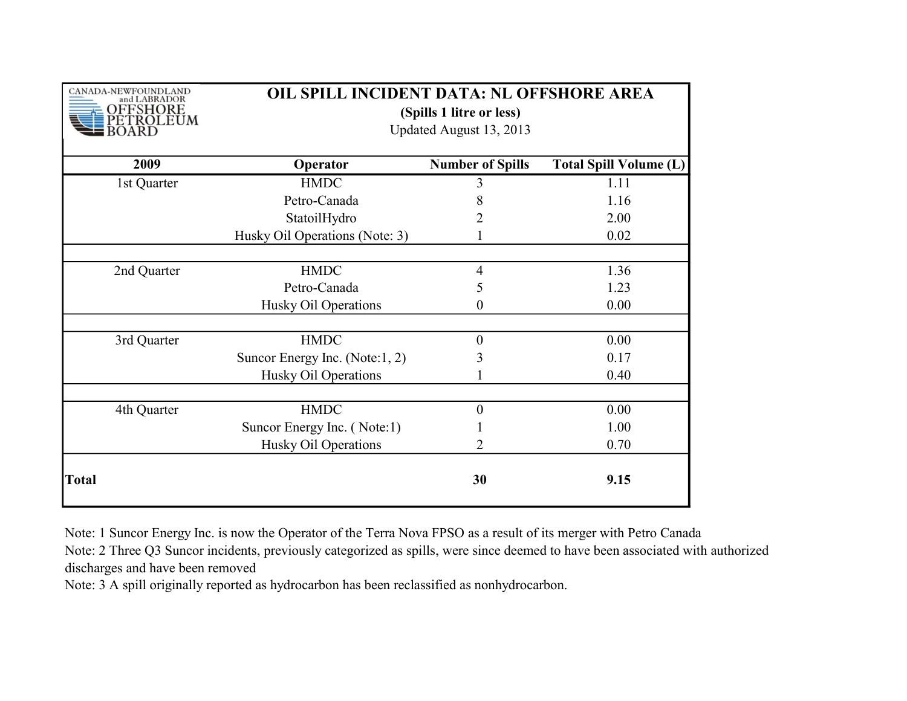| CANADA-NEWFOUNDLAND<br>and LABRADOR<br><b>SHORE</b> | OIL SPILL INCIDENT DATA: NL OFFSHORE AREA<br>(Spills 1 litre or less)<br>Updated August 13, 2013 |                         |                               |  |
|-----------------------------------------------------|--------------------------------------------------------------------------------------------------|-------------------------|-------------------------------|--|
| 2009                                                | Operator                                                                                         | <b>Number of Spills</b> | <b>Total Spill Volume (L)</b> |  |
| 1st Quarter                                         | <b>HMDC</b>                                                                                      | 3                       | 1.11                          |  |
|                                                     | Petro-Canada                                                                                     | 8                       | 1.16                          |  |
|                                                     | StatoilHydro                                                                                     |                         | 2.00                          |  |
|                                                     | Husky Oil Operations (Note: 3)                                                                   |                         | 0.02                          |  |
|                                                     |                                                                                                  |                         |                               |  |
| 2nd Quarter                                         | <b>HMDC</b>                                                                                      | $\overline{4}$          | 1.36                          |  |
|                                                     | Petro-Canada                                                                                     | 5                       | 1.23                          |  |
|                                                     | Husky Oil Operations                                                                             | 0                       | 0.00                          |  |
| 3rd Quarter                                         | <b>HMDC</b>                                                                                      | $\boldsymbol{0}$        | 0.00                          |  |
|                                                     | Suncor Energy Inc. (Note:1, 2)                                                                   | 3                       | 0.17                          |  |
|                                                     | Husky Oil Operations                                                                             |                         | 0.40                          |  |
| 4th Quarter                                         | <b>HMDC</b>                                                                                      | $\mathbf{0}$            | 0.00                          |  |
|                                                     | Suncor Energy Inc. (Note:1)                                                                      |                         | 1.00                          |  |
|                                                     | Husky Oil Operations                                                                             | 2                       | 0.70                          |  |
| <b>Total</b>                                        |                                                                                                  | 30                      | 9.15                          |  |

Note: 1 Suncor Energy Inc. is now the Operator of the Terra Nova FPSO as a result of its merger with Petro Canada Note: 2 Three Q3 Suncor incidents, previously categorized as spills, were since deemed to have been associated with authorized discharges and have been removed

Note: 3 A spill originally reported as hydrocarbon has been reclassified as nonhydrocarbon.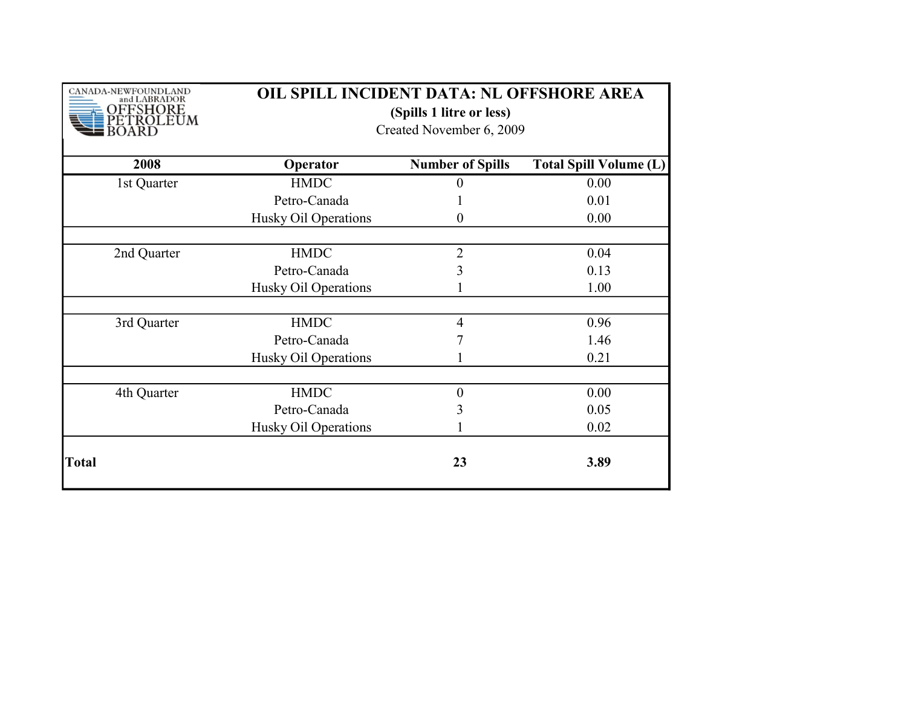| CANADA-NEWFOUNDLAND<br>and LABRADOR<br>OFFSHORE<br>ROLEUM | OIL SPILL INCIDENT DATA: NL OFFSHORE AREA<br>(Spills 1 litre or less)<br>Created November 6, 2009 |                         |                               |
|-----------------------------------------------------------|---------------------------------------------------------------------------------------------------|-------------------------|-------------------------------|
| 2008                                                      | Operator                                                                                          | <b>Number of Spills</b> | <b>Total Spill Volume (L)</b> |
| 1st Quarter                                               | <b>HMDC</b>                                                                                       | 0                       | 0.00                          |
|                                                           | Petro-Canada                                                                                      |                         | 0.01                          |
|                                                           | Husky Oil Operations                                                                              | 0                       | 0.00                          |
|                                                           |                                                                                                   |                         |                               |
| 2nd Quarter                                               | <b>HMDC</b>                                                                                       | $\overline{2}$          | 0.04                          |
|                                                           | Petro-Canada                                                                                      | 3                       | 0.13                          |
|                                                           | Husky Oil Operations                                                                              |                         | 1.00                          |
|                                                           |                                                                                                   |                         |                               |
| 3rd Quarter                                               | <b>HMDC</b>                                                                                       | $\overline{4}$          | 0.96                          |
|                                                           | Petro-Canada                                                                                      | 7                       | 1.46                          |
|                                                           | Husky Oil Operations                                                                              |                         | 0.21                          |
|                                                           |                                                                                                   |                         |                               |
| 4th Quarter                                               | <b>HMDC</b>                                                                                       | $\overline{0}$          | 0.00                          |
|                                                           | Petro-Canada                                                                                      | 3                       | 0.05                          |
|                                                           | Husky Oil Operations                                                                              |                         | 0.02                          |
| Total                                                     |                                                                                                   | 23                      | 3.89                          |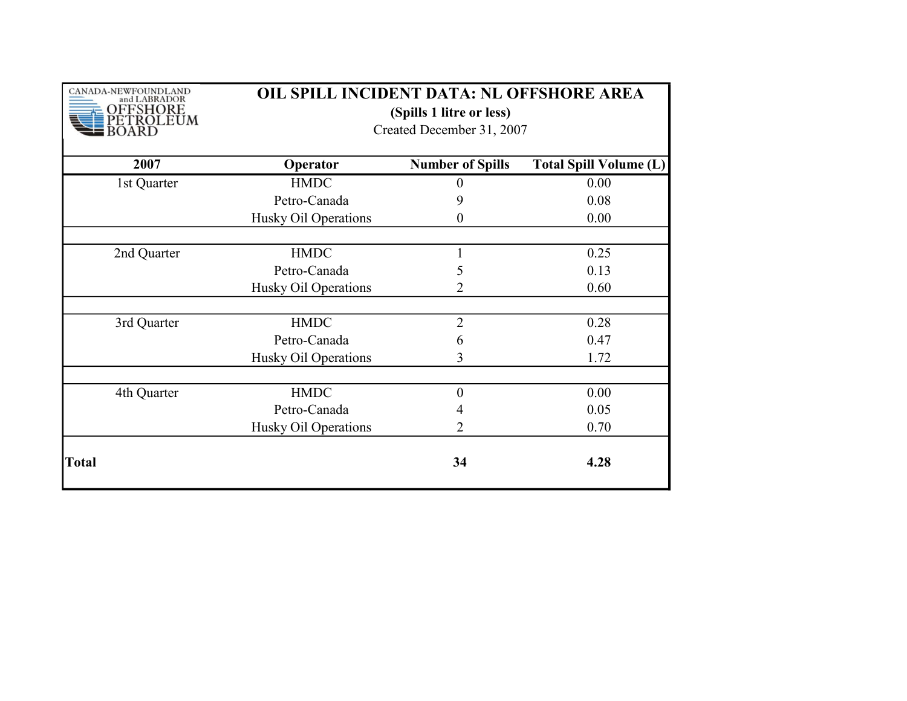| CANADA-NEWFOUNDLAND<br>and LABRADOR<br>FSHORE<br>ROLEUM | OIL SPILL INCIDENT DATA: NL OFFSHORE AREA<br>(Spills 1 litre or less)<br>Created December 31, 2007 |                         |                               |
|---------------------------------------------------------|----------------------------------------------------------------------------------------------------|-------------------------|-------------------------------|
| 2007                                                    | Operator                                                                                           | <b>Number of Spills</b> | <b>Total Spill Volume (L)</b> |
| 1st Quarter                                             | <b>HMDC</b>                                                                                        | 0                       | 0.00                          |
|                                                         | Petro-Canada                                                                                       | 9                       | 0.08                          |
|                                                         | Husky Oil Operations                                                                               | 0                       | 0.00                          |
|                                                         |                                                                                                    |                         |                               |
| 2nd Quarter                                             | <b>HMDC</b>                                                                                        |                         | 0.25                          |
|                                                         | Petro-Canada                                                                                       | 5                       | 0.13                          |
|                                                         | Husky Oil Operations                                                                               | 2                       | 0.60                          |
|                                                         |                                                                                                    |                         |                               |
| 3rd Quarter                                             | <b>HMDC</b>                                                                                        | $\overline{2}$          | 0.28                          |
|                                                         | Petro-Canada                                                                                       | 6                       | 0.47                          |
|                                                         | Husky Oil Operations                                                                               | 3                       | 1.72                          |
|                                                         | <b>HMDC</b>                                                                                        | $\theta$                | 0.00                          |
| 4th Quarter                                             |                                                                                                    |                         |                               |
|                                                         | Petro-Canada                                                                                       | 4                       | 0.05                          |
|                                                         | Husky Oil Operations                                                                               | 2                       | 0.70                          |
| Total                                                   |                                                                                                    | 34                      | 4.28                          |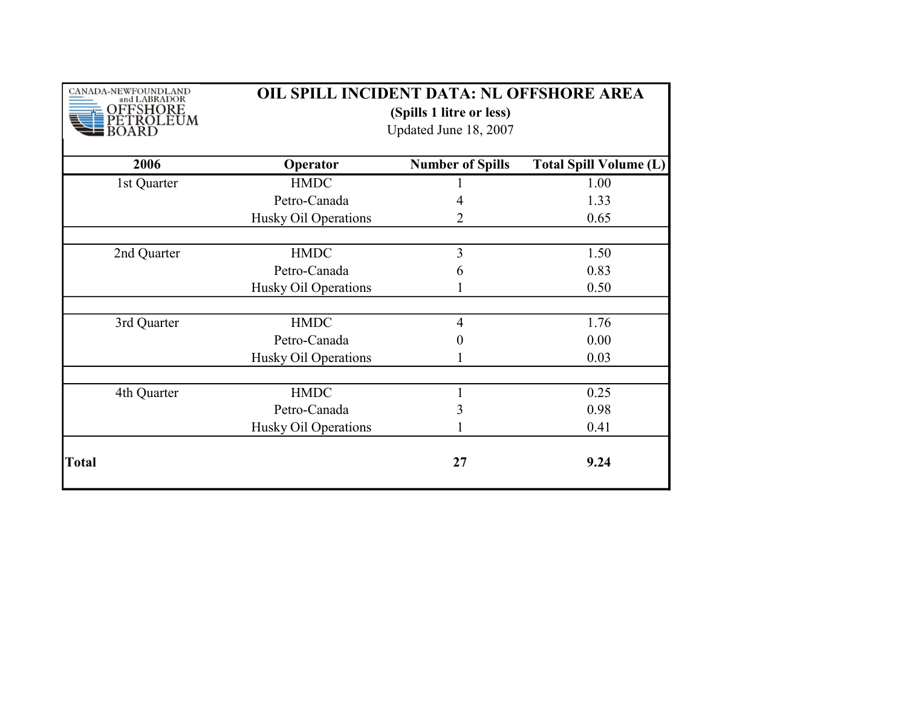| CANADA-NEWFOUNDLAND<br>and LABRADOR<br>FFSHORE<br>ROLEUM | OIL SPILL INCIDENT DATA: NL OFFSHORE AREA<br>(Spills 1 litre or less)<br>Updated June 18, 2007 |                         |                               |
|----------------------------------------------------------|------------------------------------------------------------------------------------------------|-------------------------|-------------------------------|
| 2006                                                     | Operator                                                                                       | <b>Number of Spills</b> | <b>Total Spill Volume (L)</b> |
| 1st Quarter                                              | <b>HMDC</b>                                                                                    |                         | 1.00                          |
|                                                          | Petro-Canada                                                                                   | 4                       | 1.33                          |
|                                                          | Husky Oil Operations                                                                           | 2                       | 0.65                          |
|                                                          |                                                                                                |                         |                               |
| 2nd Quarter                                              | <b>HMDC</b>                                                                                    | 3                       | 1.50                          |
|                                                          | Petro-Canada                                                                                   | 6                       | 0.83                          |
|                                                          | Husky Oil Operations                                                                           |                         | 0.50                          |
| 3rd Quarter                                              | <b>HMDC</b>                                                                                    | $\overline{4}$          | 1.76                          |
|                                                          | Petro-Canada                                                                                   | 0                       | 0.00                          |
|                                                          | Husky Oil Operations                                                                           |                         | 0.03                          |
|                                                          |                                                                                                |                         |                               |
| 4th Quarter                                              | <b>HMDC</b>                                                                                    | 1                       | 0.25                          |
|                                                          | Petro-Canada                                                                                   | 3                       | 0.98                          |
|                                                          | Husky Oil Operations                                                                           |                         | 0.41                          |
| <b>Total</b>                                             |                                                                                                | 27                      | 9.24                          |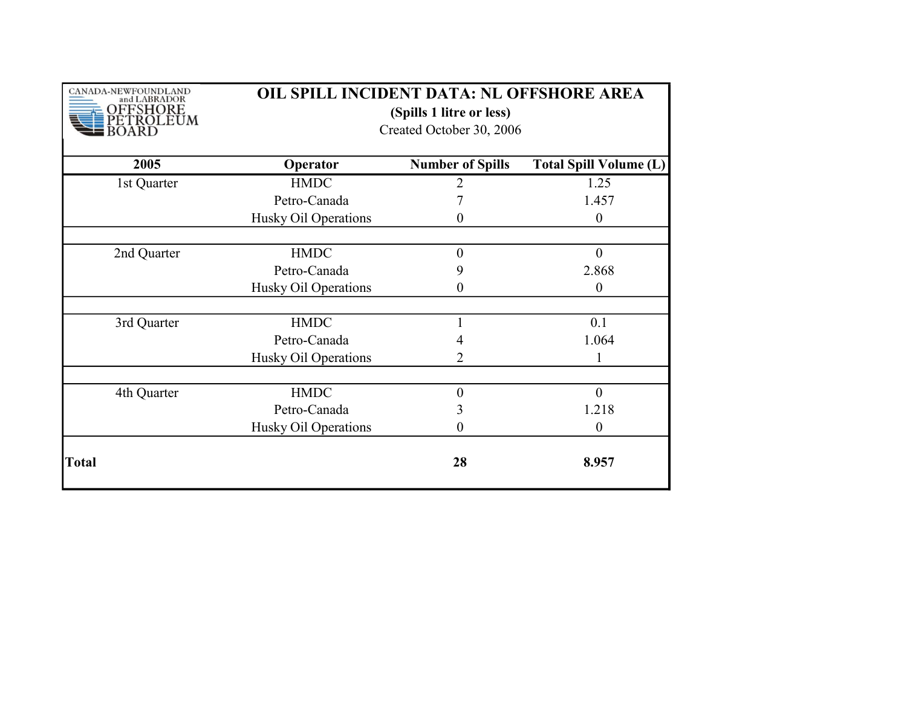| CANADA-NEWFOUNDLAND<br>and LABRADOR<br>FSHORE<br>ROLEUM | OIL SPILL INCIDENT DATA: NL OFFSHORE AREA<br>(Spills 1 litre or less)<br>Created October 30, 2006 |                         |                               |
|---------------------------------------------------------|---------------------------------------------------------------------------------------------------|-------------------------|-------------------------------|
| 2005                                                    | Operator                                                                                          | <b>Number of Spills</b> | <b>Total Spill Volume (L)</b> |
| 1st Quarter                                             | <b>HMDC</b>                                                                                       | 2                       | 1.25                          |
|                                                         | Petro-Canada                                                                                      |                         | 1.457                         |
|                                                         | Husky Oil Operations                                                                              | $\theta$                | $\boldsymbol{0}$              |
| 2nd Quarter                                             | <b>HMDC</b>                                                                                       | $\theta$                | $\mathbf{0}$                  |
|                                                         | Petro-Canada                                                                                      | 9                       | 2.868                         |
|                                                         | Husky Oil Operations                                                                              | 0                       | $\boldsymbol{0}$              |
|                                                         |                                                                                                   |                         |                               |
| 3rd Quarter                                             | <b>HMDC</b>                                                                                       |                         | 0.1                           |
|                                                         | Petro-Canada                                                                                      | 4                       | 1.064                         |
|                                                         | Husky Oil Operations                                                                              | 2                       | 1                             |
|                                                         |                                                                                                   |                         |                               |
| 4th Quarter                                             | <b>HMDC</b>                                                                                       | $\theta$                | $\theta$                      |
|                                                         | Petro-Canada                                                                                      | 3                       | 1.218                         |
|                                                         | Husky Oil Operations                                                                              | 0                       | $\boldsymbol{0}$              |
| Total                                                   |                                                                                                   | 28                      | 8.957                         |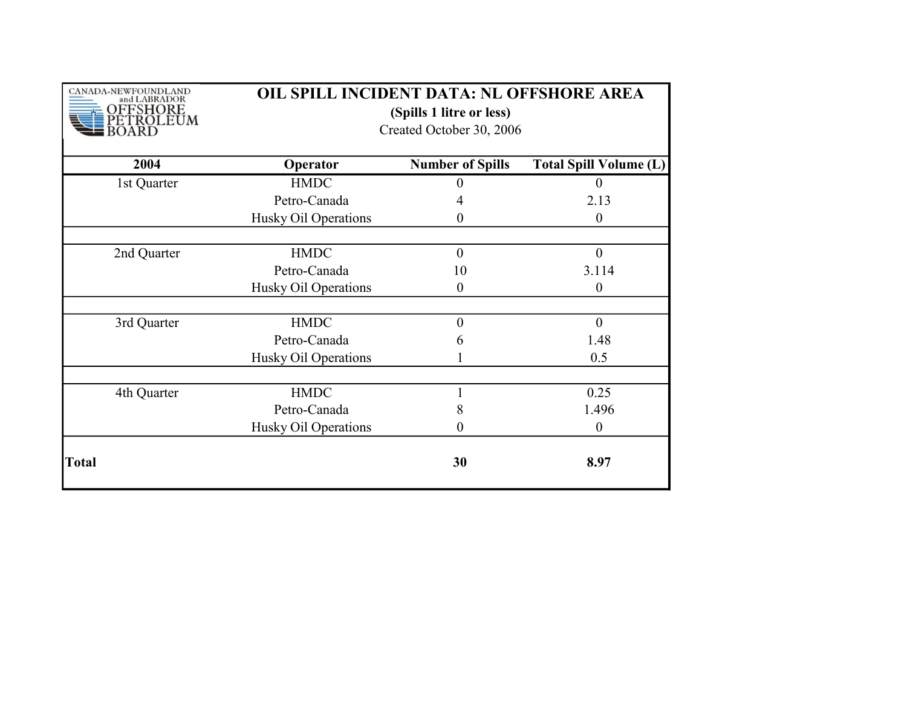| CANADA-NEWFOUNDLAND<br>and LABRADOR<br><b>FSHORE</b><br>ROLEUM | OIL SPILL INCIDENT DATA: NL OFFSHORE AREA<br>(Spills 1 litre or less)<br>Created October 30, 2006 |                         |                               |
|----------------------------------------------------------------|---------------------------------------------------------------------------------------------------|-------------------------|-------------------------------|
| 2004                                                           | Operator                                                                                          | <b>Number of Spills</b> | <b>Total Spill Volume (L)</b> |
| 1st Quarter                                                    | <b>HMDC</b>                                                                                       | 0                       | $\overline{0}$                |
|                                                                | Petro-Canada                                                                                      | 4                       | 2.13                          |
|                                                                | Husky Oil Operations                                                                              | 0                       | $\overline{0}$                |
|                                                                |                                                                                                   |                         |                               |
| 2nd Quarter                                                    | <b>HMDC</b>                                                                                       | $\theta$                | $\theta$                      |
|                                                                | Petro-Canada                                                                                      | 10                      | 3.114                         |
|                                                                | Husky Oil Operations                                                                              | 0                       | $\boldsymbol{0}$              |
|                                                                |                                                                                                   |                         |                               |
| 3rd Quarter                                                    | <b>HMDC</b>                                                                                       | $\overline{0}$          | $\mathbf{0}$                  |
|                                                                | Petro-Canada                                                                                      | 6                       | 1.48                          |
|                                                                | Husky Oil Operations                                                                              |                         | 0.5                           |
|                                                                |                                                                                                   |                         |                               |
| 4th Quarter                                                    | <b>HMDC</b>                                                                                       |                         | 0.25                          |
|                                                                | Petro-Canada                                                                                      | 8                       | 1.496                         |
|                                                                | Husky Oil Operations                                                                              | 0                       | $\boldsymbol{0}$              |
| Total                                                          |                                                                                                   | 30                      | 8.97                          |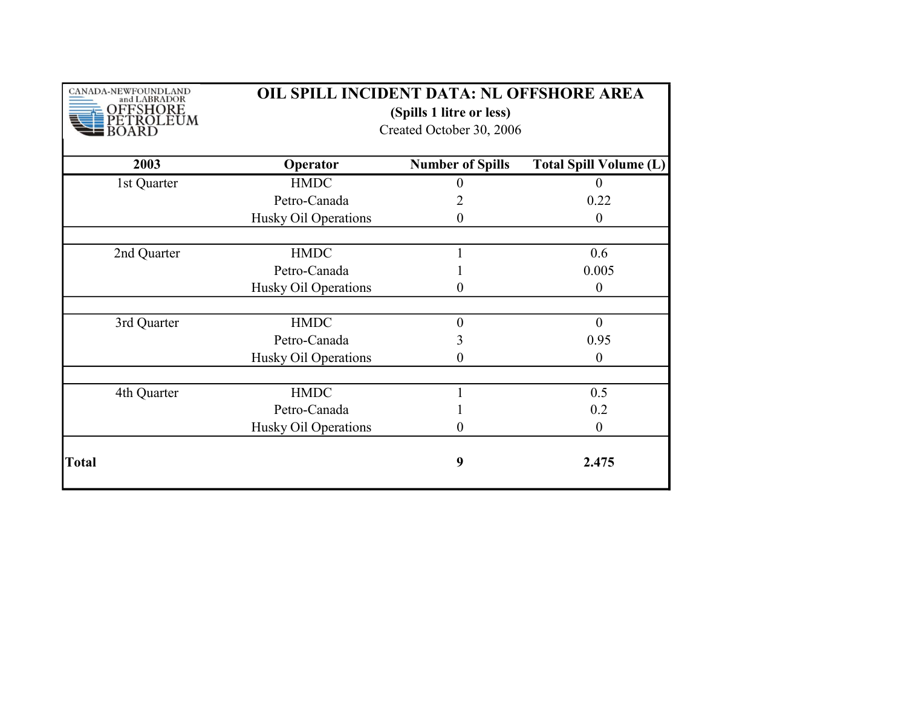| CANADA-NEWFOUNDLAND<br>and LABRADOR<br>FSHORE<br>ROLEUM | OIL SPILL INCIDENT DATA: NL OFFSHORE AREA<br>(Spills 1 litre or less)<br>Created October 30, 2006 |                         |                               |
|---------------------------------------------------------|---------------------------------------------------------------------------------------------------|-------------------------|-------------------------------|
| 2003                                                    | Operator                                                                                          | <b>Number of Spills</b> | <b>Total Spill Volume (L)</b> |
| 1st Quarter                                             | <b>HMDC</b>                                                                                       | 0                       | $\theta$                      |
|                                                         | Petro-Canada                                                                                      | 2                       | 0.22                          |
|                                                         | Husky Oil Operations                                                                              | $\theta$                | $\overline{0}$                |
|                                                         |                                                                                                   |                         |                               |
| 2nd Quarter                                             | <b>HMDC</b>                                                                                       |                         | 0.6                           |
|                                                         | Petro-Canada                                                                                      |                         | 0.005                         |
|                                                         | Husky Oil Operations                                                                              | 0                       | $\boldsymbol{0}$              |
| 3rd Quarter                                             | <b>HMDC</b>                                                                                       | $\overline{0}$          | $\mathbf{0}$                  |
|                                                         | Petro-Canada                                                                                      | 3                       | 0.95                          |
|                                                         | Husky Oil Operations                                                                              | 0                       | $\overline{0}$                |
|                                                         |                                                                                                   |                         |                               |
| 4th Quarter                                             | <b>HMDC</b>                                                                                       |                         | 0.5                           |
|                                                         | Petro-Canada                                                                                      |                         | 0.2                           |
|                                                         | Husky Oil Operations                                                                              | $\theta$                | $\boldsymbol{0}$              |
| Total                                                   |                                                                                                   | 9                       | 2.475                         |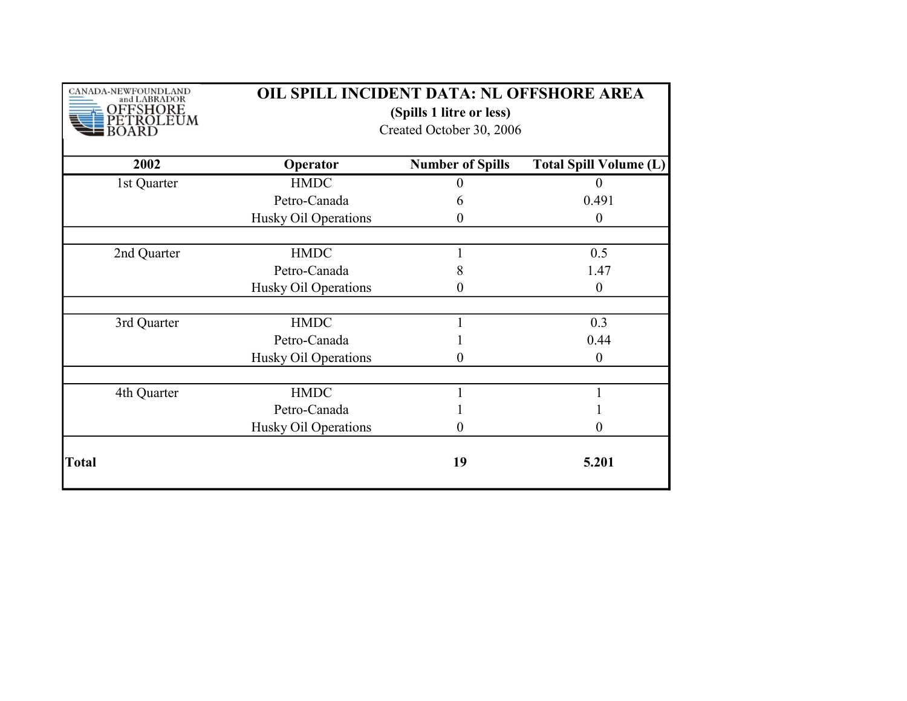| CANADA-NEWFOUNDLAND<br>and LABRADOR<br>FSHORE<br>OLEUM | OIL SPILL INCIDENT DATA: NL OFFSHORE AREA<br>(Spills 1 litre or less)<br>Created October 30, 2006 |                         |                               |
|--------------------------------------------------------|---------------------------------------------------------------------------------------------------|-------------------------|-------------------------------|
| 2002                                                   | Operator                                                                                          | <b>Number of Spills</b> | <b>Total Spill Volume (L)</b> |
| 1st Quarter                                            | <b>HMDC</b>                                                                                       |                         |                               |
|                                                        | Petro-Canada                                                                                      | 6                       | 0.491                         |
|                                                        | Husky Oil Operations                                                                              | $\theta$                | $\boldsymbol{0}$              |
| 2nd Quarter                                            | <b>HMDC</b>                                                                                       |                         | 0.5                           |
|                                                        | Petro-Canada                                                                                      | 8                       | 1.47                          |
|                                                        | Husky Oil Operations                                                                              | 0                       | $\theta$                      |
| 3rd Quarter                                            | <b>HMDC</b>                                                                                       |                         | 0.3                           |
|                                                        | Petro-Canada                                                                                      |                         | 0.44                          |
|                                                        | Husky Oil Operations                                                                              | 0                       | $\theta$                      |
| 4th Quarter                                            | <b>HMDC</b>                                                                                       |                         |                               |
|                                                        | Petro-Canada                                                                                      |                         |                               |
|                                                        | Husky Oil Operations                                                                              | $\theta$                | 0                             |
| Total                                                  |                                                                                                   | 19                      | 5.201                         |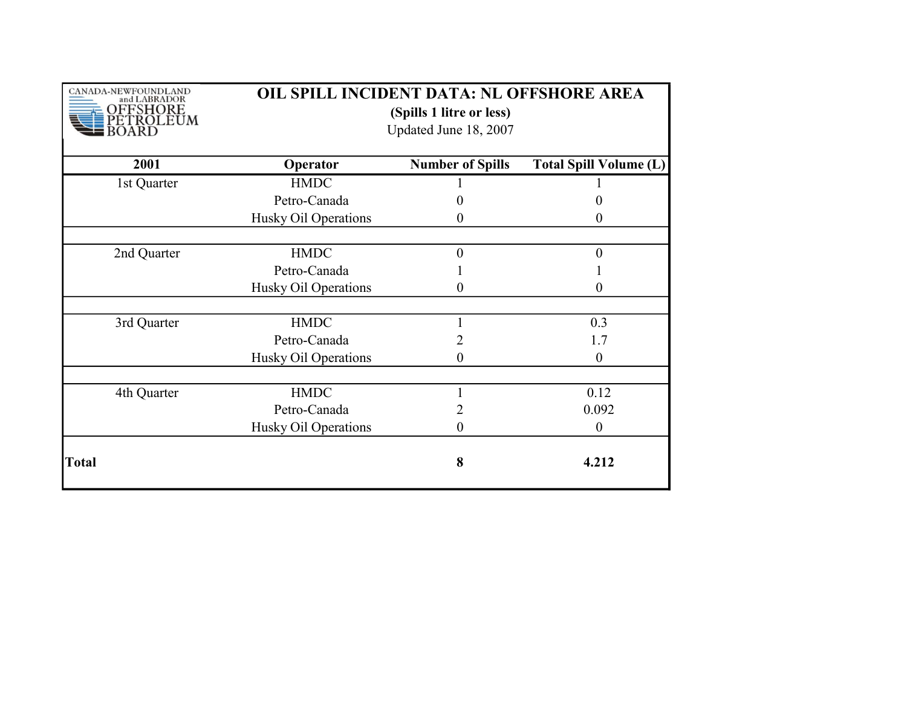| CANADA-NEWFOUNDLAND<br>and LABRADOR<br>FSHORE<br>ROLEUM | OIL SPILL INCIDENT DATA: NL OFFSHORE AREA<br>(Spills 1 litre or less)<br>Updated June 18, 2007 |                         |                               |
|---------------------------------------------------------|------------------------------------------------------------------------------------------------|-------------------------|-------------------------------|
| 2001                                                    | Operator                                                                                       | <b>Number of Spills</b> | <b>Total Spill Volume (L)</b> |
| 1st Quarter                                             | <b>HMDC</b>                                                                                    |                         |                               |
|                                                         | Petro-Canada                                                                                   |                         |                               |
|                                                         | Husky Oil Operations                                                                           | $\theta$                | $\theta$                      |
|                                                         |                                                                                                |                         |                               |
| 2nd Quarter                                             | <b>HMDC</b>                                                                                    | $\Omega$                | $\overline{0}$                |
|                                                         | Petro-Canada                                                                                   |                         |                               |
|                                                         | Husky Oil Operations                                                                           | 0                       | 0                             |
| 3rd Quarter                                             | <b>HMDC</b>                                                                                    |                         | 0.3                           |
|                                                         | Petro-Canada                                                                                   | 2                       | 1.7                           |
|                                                         | Husky Oil Operations                                                                           | 0                       | $\theta$                      |
|                                                         |                                                                                                |                         |                               |
| 4th Quarter                                             | <b>HMDC</b>                                                                                    |                         | 0.12                          |
|                                                         | Petro-Canada                                                                                   |                         | 0.092                         |
|                                                         | Husky Oil Operations                                                                           | 0                       | $\boldsymbol{0}$              |
| Total                                                   |                                                                                                | 8                       | 4.212                         |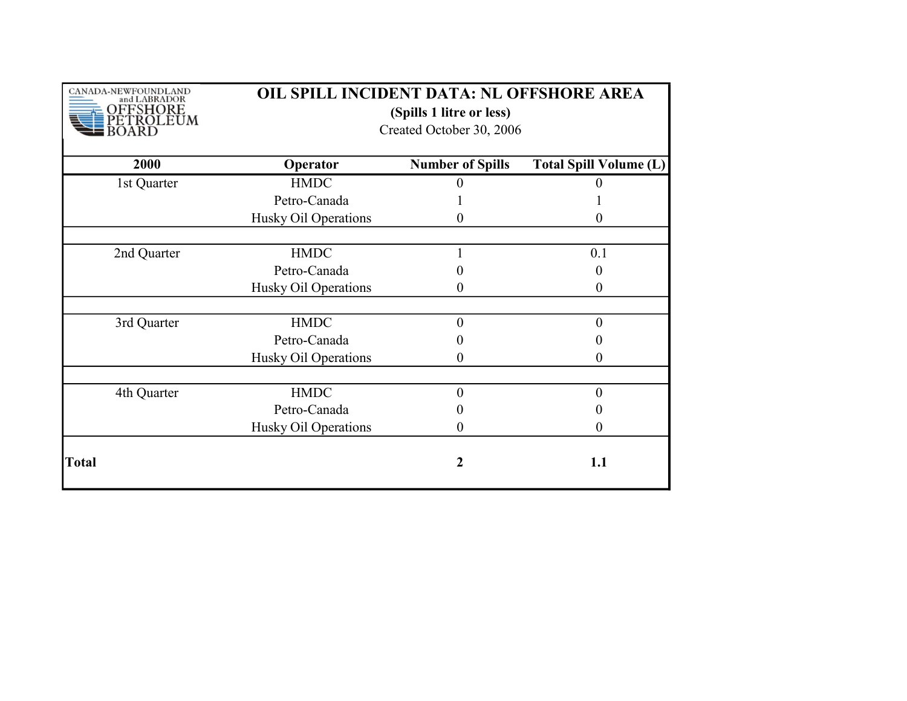| CANADA-NEWFOUNDLAND<br>and LABRADOR<br>- SHORE<br>OLEUM | OIL SPILL INCIDENT DATA: NL OFFSHORE AREA<br>(Spills 1 litre or less)<br>Created October 30, 2006 |                         |                               |  |
|---------------------------------------------------------|---------------------------------------------------------------------------------------------------|-------------------------|-------------------------------|--|
| 2000                                                    | Operator                                                                                          | <b>Number of Spills</b> | <b>Total Spill Volume (L)</b> |  |
| 1st Quarter                                             | <b>HMDC</b>                                                                                       |                         |                               |  |
|                                                         | Petro-Canada                                                                                      |                         |                               |  |
|                                                         | Husky Oil Operations                                                                              | 0                       | 0                             |  |
| 2nd Quarter                                             | <b>HMDC</b>                                                                                       |                         | 0.1                           |  |
|                                                         | Petro-Canada                                                                                      |                         |                               |  |
|                                                         | Husky Oil Operations                                                                              | 0                       | 0                             |  |
| 3rd Quarter                                             | <b>HMDC</b>                                                                                       | 0                       | 0                             |  |
|                                                         | Petro-Canada                                                                                      | 0                       |                               |  |
|                                                         | Husky Oil Operations                                                                              | 0                       | 0                             |  |
| 4th Quarter                                             | <b>HMDC</b>                                                                                       | $\theta$                | 0                             |  |
|                                                         | Petro-Canada                                                                                      |                         |                               |  |
|                                                         | Husky Oil Operations                                                                              | 0                       | $\theta$                      |  |
| <b>Total</b>                                            |                                                                                                   | 2                       | 1.1                           |  |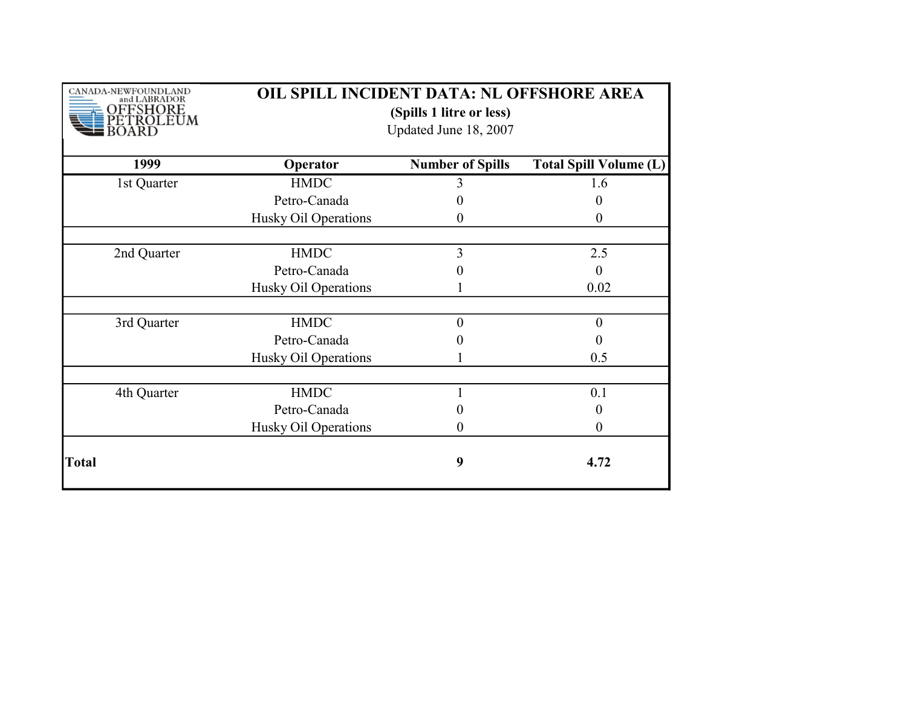| CANADA-NEWFOUNDLAND<br>and LABRADOR<br>FSHORE<br>ROLEUM | OIL SPILL INCIDENT DATA: NL OFFSHORE AREA<br>(Spills 1 litre or less)<br>Updated June 18, 2007 |                         |                               |
|---------------------------------------------------------|------------------------------------------------------------------------------------------------|-------------------------|-------------------------------|
| 1999                                                    | Operator                                                                                       | <b>Number of Spills</b> | <b>Total Spill Volume (L)</b> |
| 1st Quarter                                             | <b>HMDC</b>                                                                                    | 3                       | 1.6                           |
|                                                         | Petro-Canada                                                                                   | 0                       | $\theta$                      |
|                                                         | Husky Oil Operations                                                                           | $_{0}$                  | $\boldsymbol{0}$              |
| 2nd Quarter                                             | <b>HMDC</b>                                                                                    | 3                       | 2.5                           |
|                                                         | Petro-Canada                                                                                   | 0                       | $\overline{0}$                |
|                                                         | Husky Oil Operations                                                                           |                         | 0.02                          |
|                                                         |                                                                                                |                         |                               |
| 3rd Quarter                                             | <b>HMDC</b>                                                                                    | $\theta$                | $\boldsymbol{0}$              |
|                                                         | Petro-Canada                                                                                   |                         | $\theta$                      |
|                                                         | Husky Oil Operations                                                                           |                         | 0.5                           |
|                                                         |                                                                                                |                         |                               |
| 4th Quarter                                             | <b>HMDC</b>                                                                                    |                         | 0.1                           |
|                                                         | Petro-Canada                                                                                   |                         | 0                             |
|                                                         | Husky Oil Operations                                                                           | 0                       | $\boldsymbol{0}$              |
| Total                                                   |                                                                                                | 9                       | 4.72                          |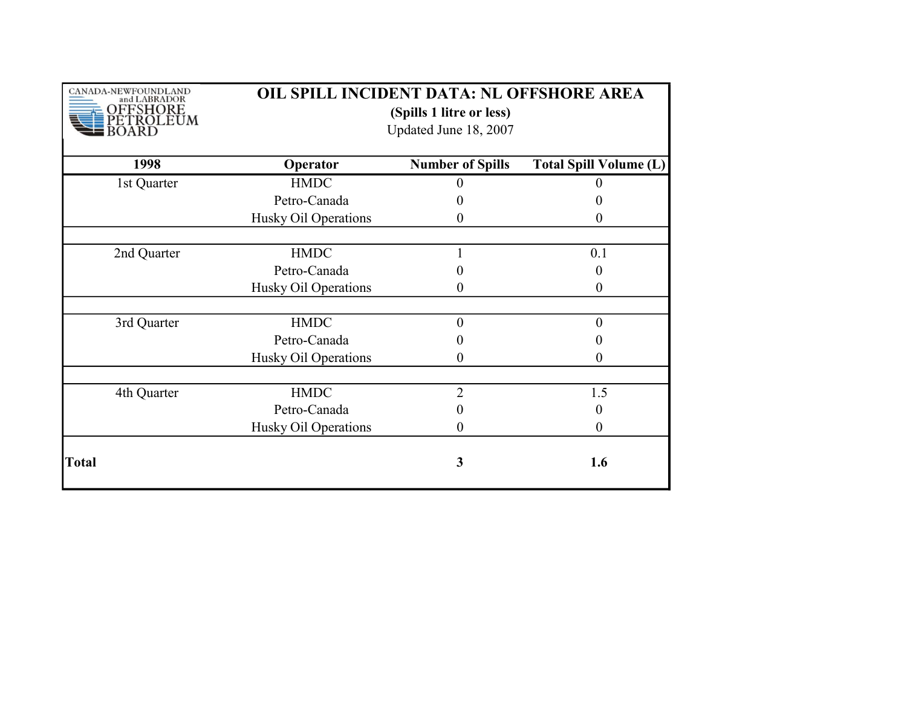| CANADA-NEWFOUNDLAND<br>and LABRADOR<br>FSHORE<br><b>ROLEUM</b> | OIL SPILL INCIDENT DATA: NL OFFSHORE AREA<br>(Spills 1 litre or less)<br>Updated June 18, 2007 |                         |                               |
|----------------------------------------------------------------|------------------------------------------------------------------------------------------------|-------------------------|-------------------------------|
| 1998                                                           | Operator                                                                                       | <b>Number of Spills</b> | <b>Total Spill Volume (L)</b> |
| 1st Quarter                                                    | <b>HMDC</b>                                                                                    |                         |                               |
|                                                                | Petro-Canada                                                                                   |                         |                               |
|                                                                | Husky Oil Operations                                                                           | $\theta$                | $\theta$                      |
|                                                                |                                                                                                |                         |                               |
| 2nd Quarter                                                    | <b>HMDC</b>                                                                                    |                         | 0.1                           |
|                                                                | Petro-Canada                                                                                   |                         | 0                             |
|                                                                | Husky Oil Operations                                                                           | 0                       | 0                             |
|                                                                |                                                                                                |                         |                               |
| 3rd Quarter                                                    | <b>HMDC</b>                                                                                    | $\theta$                | $\boldsymbol{0}$              |
|                                                                | Petro-Canada                                                                                   |                         | 0                             |
|                                                                | Husky Oil Operations                                                                           | 0                       | 0                             |
|                                                                |                                                                                                |                         |                               |
| 4th Quarter                                                    | <b>HMDC</b>                                                                                    | $\overline{2}$          | 1.5                           |
|                                                                | Petro-Canada                                                                                   | 0                       | 0                             |
|                                                                | Husky Oil Operations                                                                           | $\theta$                | $\boldsymbol{0}$              |
| <b>Total</b>                                                   |                                                                                                | 3                       | 1.6                           |